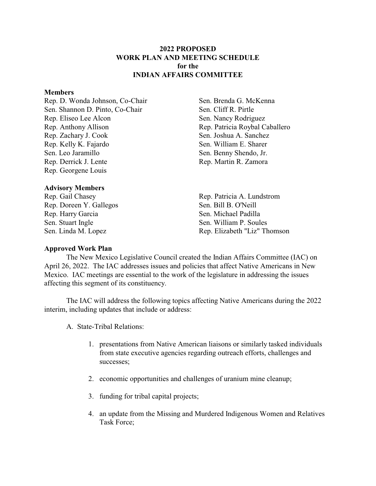# **2022 PROPOSED WORK PLAN AND MEETING SCHEDULE for the INDIAN AFFAIRS COMMITTEE**

#### **Members**

Rep. D. Wonda Johnson, Co-Chair Sen. Shannon D. Pinto, Co-Chair Rep. Eliseo Lee Alcon Rep. Anthony Allison Rep. Zachary J. Cook Rep. Kelly K. Fajardo Sen. Leo Jaramillo Rep. Derrick J. Lente Rep. Georgene Louis

**Advisory Members**

Rep. Gail Chasey Rep. Doreen Y. Gallegos Rep. Harry Garcia Sen. Stuart Ingle Sen. Linda M. Lopez

Sen. Brenda G. McKenna Sen. Cliff R. Pirtle Sen. Nancy Rodriguez Rep. Patricia Roybal Caballero Sen. Joshua A. Sanchez Sen. William E. Sharer Sen. Benny Shendo, Jr. Rep. Martin R. Zamora

Rep. Patricia A. Lundstrom Sen. Bill B. O'Neill Sen. Michael Padilla Sen. William P. Soules Rep. Elizabeth "Liz" Thomson

### **Approved Work Plan**

The New Mexico Legislative Council created the Indian Affairs Committee (IAC) on April 26, 2022. The IAC addresses issues and policies that affect Native Americans in New Mexico. IAC meetings are essential to the work of the legislature in addressing the issues affecting this segment of its constituency.

The IAC will address the following topics affecting Native Americans during the 2022 interim, including updates that include or address:

A. State-Tribal Relations:

- 1. presentations from Native American liaisons or similarly tasked individuals from state executive agencies regarding outreach efforts, challenges and successes;
- 2. economic opportunities and challenges of uranium mine cleanup;
- 3. funding for tribal capital projects;
- 4. an update from the Missing and Murdered Indigenous Women and Relatives Task Force;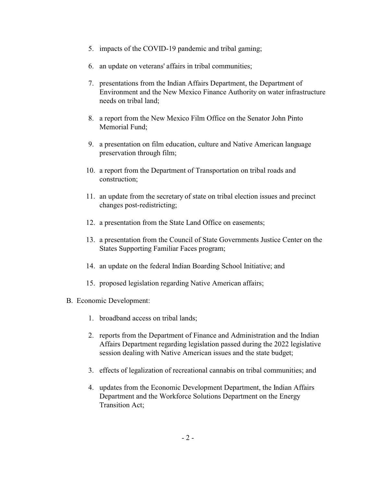- 5. impacts of the COVID-19 pandemic and tribal gaming;
- 6. an update on veterans' affairs in tribal communities;
- 7. presentations from the Indian Affairs Department, the Department of Environment and the New Mexico Finance Authority on water infrastructure needs on tribal land;
- 8. a report from the New Mexico Film Office on the Senator John Pinto Memorial Fund;
- 9. a presentation on film education, culture and Native American language preservation through film;
- 10. a report from the Department of Transportation on tribal roads and construction;
- 11. an update from the secretary of state on tribal election issues and precinct changes post-redistricting;
- 12. a presentation from the State Land Office on easements;
- 13. a presentation from the Council of State Governments Justice Center on the States Supporting Familiar Faces program;
- 14. an update on the federal Indian Boarding School Initiative; and
- 15. proposed legislation regarding Native American affairs;
- B. Economic Development:
	- 1. broadband access on tribal lands;
	- 2. reports from the Department of Finance and Administration and the Indian Affairs Department regarding legislation passed during the 2022 legislative session dealing with Native American issues and the state budget;
	- 3. effects of legalization of recreational cannabis on tribal communities; and
	- 4. updates from the Economic Development Department, the Indian Affairs Department and the Workforce Solutions Department on the Energy Transition Act;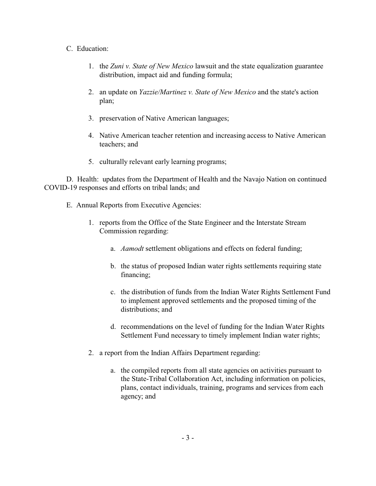# C. Education:

- 1. the *Zuni v. State of New Mexico* lawsuit and the state equalization guarantee distribution, impact aid and funding formula;
- 2. an update on *Yazzie/Martinez v. State of New Mexico* and the state's action plan;
- 3. preservation of Native American languages;
- 4. Native American teacher retention and increasing access to Native American teachers; and
- 5. culturally relevant early learning programs;

D. Health: updates from the Department of Health and the Navajo Nation on continued COVID-19 responses and efforts on tribal lands; and

- E. Annual Reports from Executive Agencies:
	- 1. reports from the Office of the State Engineer and the Interstate Stream Commission regarding:
		- a. *Aamodt* settlement obligations and effects on federal funding;
		- b. the status of proposed Indian water rights settlements requiring state financing;
		- c. the distribution of funds from the Indian Water Rights Settlement Fund to implement approved settlements and the proposed timing of the distributions; and
		- d. recommendations on the level of funding for the Indian Water Rights Settlement Fund necessary to timely implement Indian water rights;
	- 2. a report from the Indian Affairs Department regarding:
		- a. the compiled reports from all state agencies on activities pursuant to the State-Tribal Collaboration Act, including information on policies, plans, contact individuals, training, programs and services from each agency; and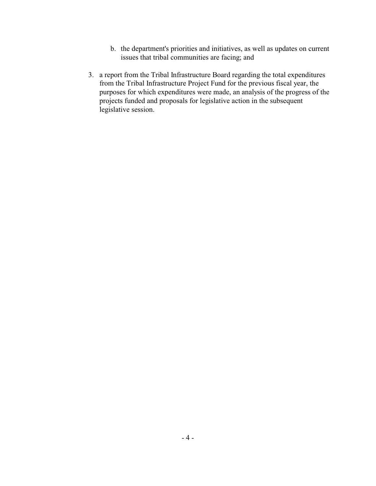- b. the department's priorities and initiatives, as well as updates on current issues that tribal communities are facing; and
- 3. a report from the Tribal Infrastructure Board regarding the total expenditures from the Tribal Infrastructure Project Fund for the previous fiscal year, the purposes for which expenditures were made, an analysis of the progress of the projects funded and proposals for legislative action in the subsequent legislative session.